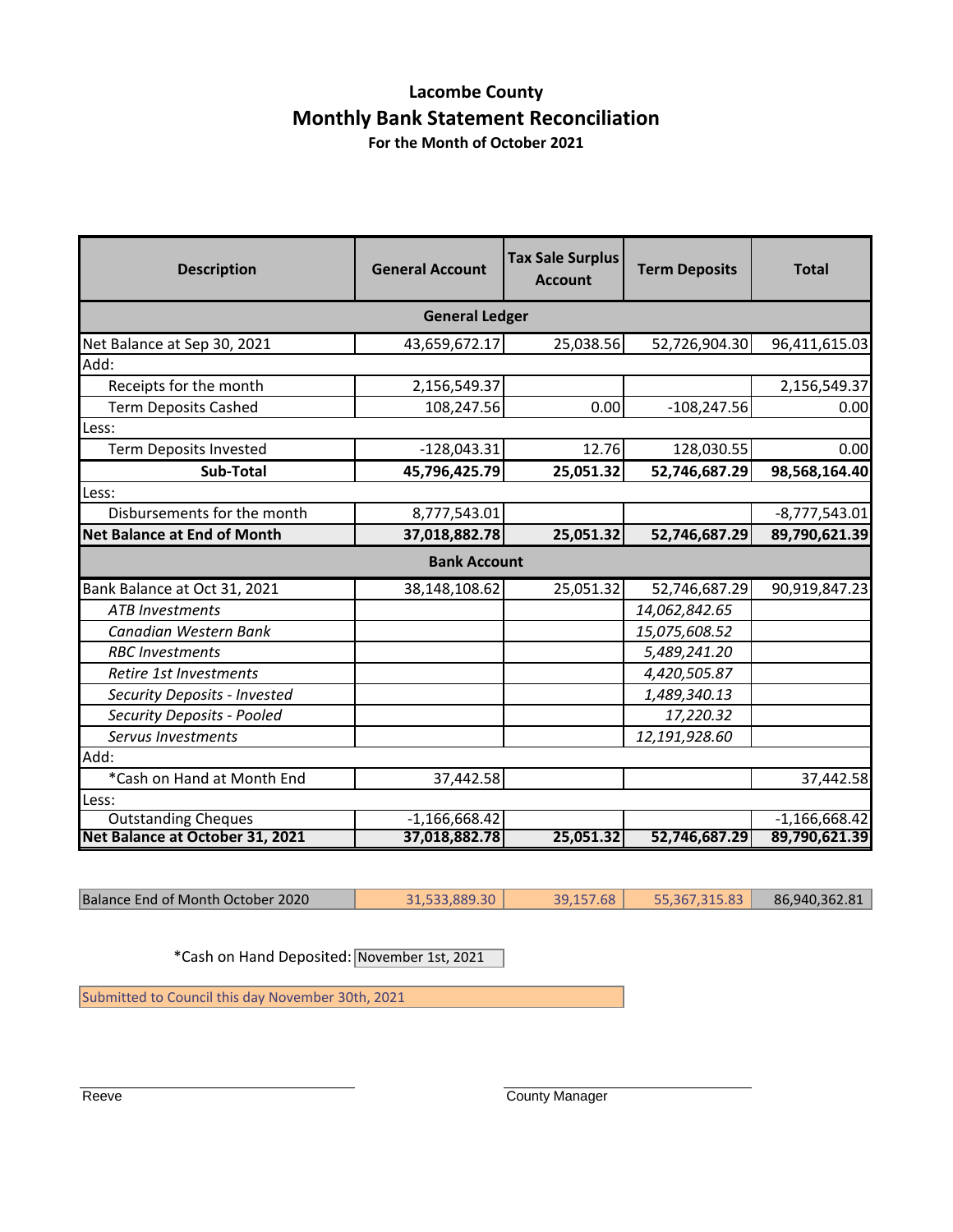## **Lacombe County Monthly Bank Statement Reconciliation**

**For the Month of October 2021**

| <b>Description</b>                 | <b>General Account</b> | <b>Tax Sale Surplus</b><br><b>Account</b> | <b>Term Deposits</b> | <b>Total</b>    |  |
|------------------------------------|------------------------|-------------------------------------------|----------------------|-----------------|--|
| <b>General Ledger</b>              |                        |                                           |                      |                 |  |
| Net Balance at Sep 30, 2021        | 43,659,672.17          | 25,038.56                                 | 52,726,904.30        | 96,411,615.03   |  |
| Add:                               |                        |                                           |                      |                 |  |
| Receipts for the month             | 2,156,549.37           |                                           |                      | 2,156,549.37    |  |
| <b>Term Deposits Cashed</b>        | 108,247.56             | 0.00                                      | $-108,247.56$        | 0.00            |  |
| Less:                              |                        |                                           |                      |                 |  |
| <b>Term Deposits Invested</b>      | $-128,043.31$          | 12.76                                     | 128,030.55           | 0.00            |  |
| <b>Sub-Total</b>                   | 45,796,425.79          | 25,051.32                                 | 52,746,687.29        | 98,568,164.40   |  |
| Less:                              |                        |                                           |                      |                 |  |
| Disbursements for the month        | 8,777,543.01           |                                           |                      | $-8,777,543.01$ |  |
| <b>Net Balance at End of Month</b> | 37,018,882.78          | 25,051.32                                 | 52,746,687.29        | 89,790,621.39   |  |
|                                    | <b>Bank Account</b>    |                                           |                      |                 |  |
| Bank Balance at Oct 31, 2021       | 38,148,108.62          | 25,051.32                                 | 52,746,687.29        | 90,919,847.23   |  |
| <b>ATB Investments</b>             |                        |                                           | 14,062,842.65        |                 |  |
| Canadian Western Bank              |                        |                                           | 15,075,608.52        |                 |  |
| <b>RBC</b> Investments             |                        |                                           | 5,489,241.20         |                 |  |
| Retire 1st Investments             |                        |                                           | 4,420,505.87         |                 |  |
| Security Deposits - Invested       |                        |                                           | 1,489,340.13         |                 |  |
| Security Deposits - Pooled         |                        |                                           | 17,220.32            |                 |  |
| Servus Investments                 |                        |                                           | 12,191,928.60        |                 |  |
| Add:                               |                        |                                           |                      |                 |  |
| *Cash on Hand at Month End         | 37,442.58              |                                           |                      | 37,442.58       |  |
| Less:                              |                        |                                           |                      |                 |  |
| <b>Outstanding Cheques</b>         | $-1,166,668.42$        |                                           |                      | $-1,166,668.42$ |  |
| Net Balance at October 31, 2021    | 37,018,882.78          | 25,051.32                                 | 52,746,687.29        | 89,790,621.39   |  |

Balance End of Month October 2020 31,533,889.30 39,157.68 55,367,315.83 86,940,362.81

\*Cash on Hand Deposited: November 1st, 2021

Submitted to Council this day November 30th, 2021

Reeve **County Manager**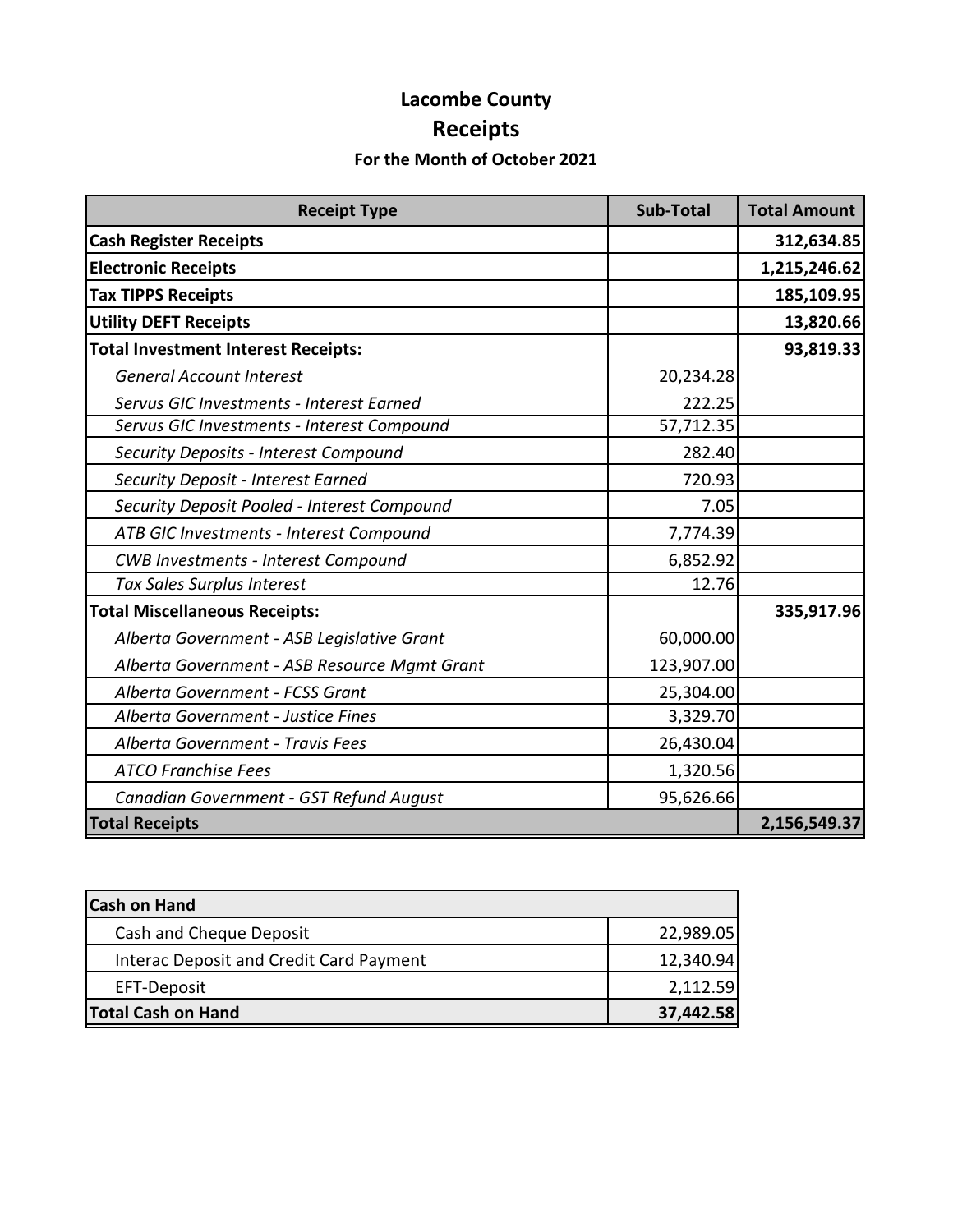# **Lacombe County Receipts**

## **For the Month of October 2021**

| <b>Receipt Type</b>                          | <b>Sub-Total</b> | <b>Total Amount</b> |
|----------------------------------------------|------------------|---------------------|
| <b>Cash Register Receipts</b>                |                  | 312,634.85          |
| <b>Electronic Receipts</b>                   |                  | 1,215,246.62        |
| <b>Tax TIPPS Receipts</b>                    |                  | 185,109.95          |
| <b>Utility DEFT Receipts</b>                 |                  | 13,820.66           |
| <b>Total Investment Interest Receipts:</b>   |                  | 93,819.33           |
| <b>General Account Interest</b>              | 20,234.28        |                     |
| Servus GIC Investments - Interest Earned     | 222.25           |                     |
| Servus GIC Investments - Interest Compound   | 57,712.35        |                     |
| Security Deposits - Interest Compound        | 282.40           |                     |
| Security Deposit - Interest Earned           | 720.93           |                     |
| Security Deposit Pooled - Interest Compound  | 7.05             |                     |
| ATB GIC Investments - Interest Compound      | 7,774.39         |                     |
| <b>CWB Investments - Interest Compound</b>   | 6,852.92         |                     |
| Tax Sales Surplus Interest                   | 12.76            |                     |
| <b>Total Miscellaneous Receipts:</b>         |                  | 335,917.96          |
| Alberta Government - ASB Legislative Grant   | 60,000.00        |                     |
| Alberta Government - ASB Resource Mgmt Grant | 123,907.00       |                     |
| Alberta Government - FCSS Grant              | 25,304.00        |                     |
| Alberta Government - Justice Fines           | 3,329.70         |                     |
| Alberta Government - Travis Fees             | 26,430.04        |                     |
| <b>ATCO Franchise Fees</b>                   | 1,320.56         |                     |
| Canadian Government - GST Refund August      | 95,626.66        |                     |
| <b>Total Receipts</b>                        | 2,156,549.37     |                     |

| <b>Cash on Hand</b>                     |           |
|-----------------------------------------|-----------|
| Cash and Cheque Deposit                 | 22,989.05 |
| Interac Deposit and Credit Card Payment | 12,340.94 |
| EFT-Deposit                             | 2,112.59  |
| <b>Total Cash on Hand</b>               | 37,442.58 |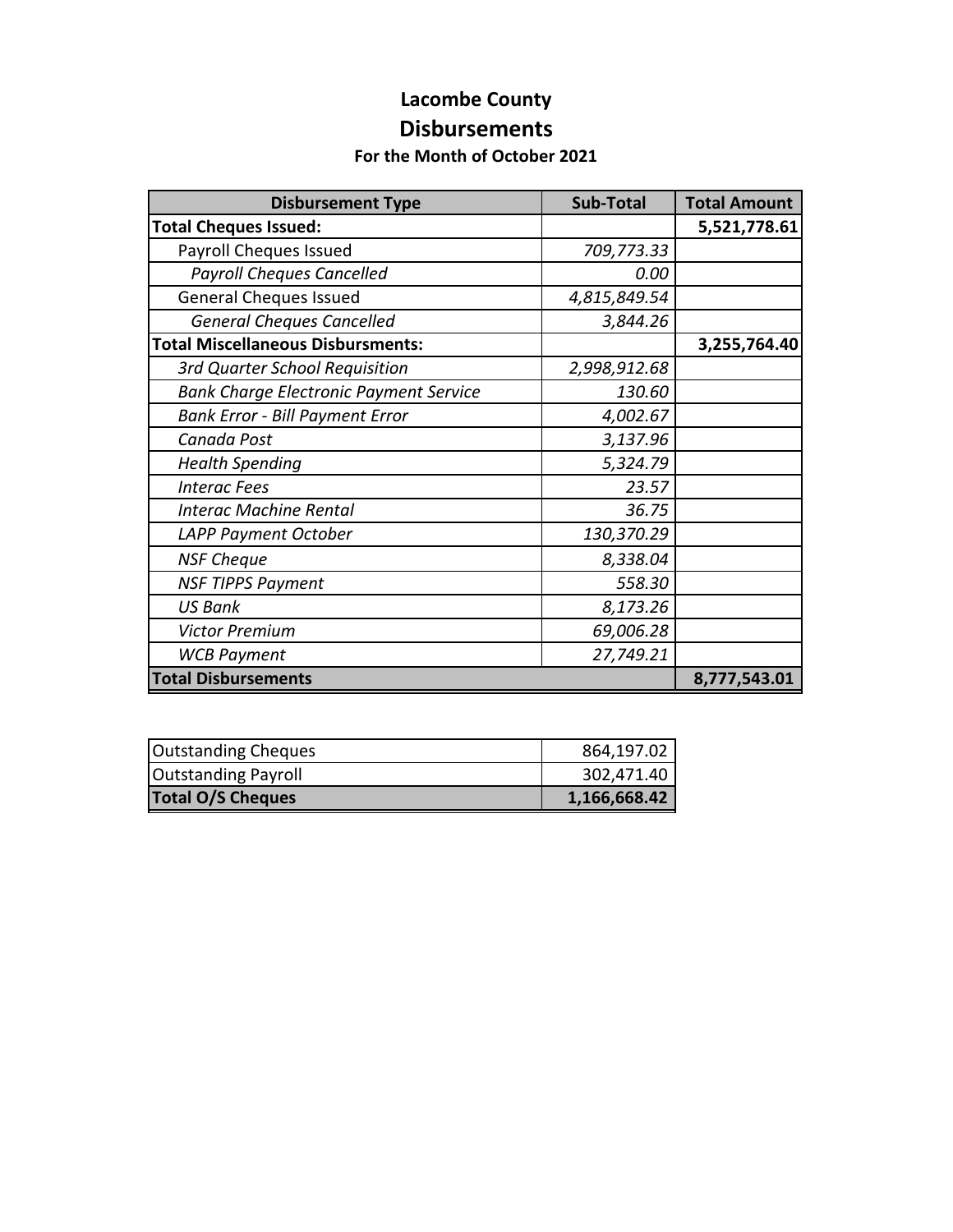### **Lacombe County Disbursements**

#### **For the Month of October 2021**

| <b>Disbursement Type</b>                      | <b>Sub-Total</b> | <b>Total Amount</b> |
|-----------------------------------------------|------------------|---------------------|
| <b>Total Cheques Issued:</b>                  |                  | 5,521,778.61        |
| Payroll Cheques Issued                        | 709,773.33       |                     |
| <b>Payroll Cheques Cancelled</b>              | 0.00             |                     |
| <b>General Cheques Issued</b>                 | 4,815,849.54     |                     |
| <b>General Cheques Cancelled</b>              | 3,844.26         |                     |
| <b>Total Miscellaneous Disbursments:</b>      |                  | 3,255,764.40        |
| 3rd Quarter School Requisition                | 2,998,912.68     |                     |
| <b>Bank Charge Electronic Payment Service</b> | 130.60           |                     |
| <b>Bank Error - Bill Payment Error</b>        | 4,002.67         |                     |
| Canada Post                                   | 3,137.96         |                     |
| <b>Health Spending</b>                        | 5,324.79         |                     |
| <b>Interac Fees</b>                           | 23.57            |                     |
| <b>Interac Machine Rental</b>                 | 36.75            |                     |
| LAPP Payment October                          | 130,370.29       |                     |
| <b>NSF Cheque</b>                             | 8,338.04         |                     |
| <b>NSF TIPPS Payment</b>                      | 558.30           |                     |
| <b>US Bank</b>                                | 8,173.26         |                     |
| <b>Victor Premium</b>                         | 69,006.28        |                     |
| <b>WCB Payment</b>                            | 27,749.21        |                     |
| <b>Total Disbursements</b>                    |                  | 8,777,543.01        |

| <b>Outstanding Cheques</b> | 864,197.02   |
|----------------------------|--------------|
| <b>Outstanding Payroll</b> | 302,471.40   |
| <b>Total O/S Cheques</b>   | 1,166,668.42 |